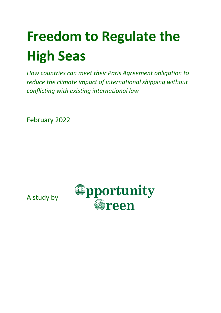# **Freedom to Regulate the High Seas**

*How countries can meet their Paris Agreement obligation to reduce the climate impact of international shipping without conflicting with existing international law*

February 2022



A study by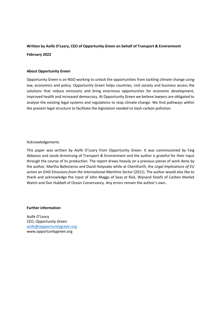#### **Written by Aoife O'Leary, CEO of Opportunity Green on behalf of Transport & Environment**

#### **February 2022**

#### **About Opportunity Green**

Opportunity Green is an NGO working to unlock the opportunities from tackling climate change using law, economics and policy. Opportunity Green helps countries, civil society and business access the solutions that reduce emissions and bring enormous opportunities for economic development, improved health and increased democracy. At Opportunity Green we believe lawyers are obligated to analyse the existing legal systems and regulations to stop climate change. We find pathways within the present legal structure to facilitate the legislation needed to slash carbon pollution.

#### Acknowledgements

This paper was written by Aoife O'Leary from Opportunity Green. It was commissioned by Faig Abbasov and Jacob Armstrong of Transport & Environment and the author is grateful for their input through the course of its production. The report draws heavily on a previous pieces of work done by the author, Martha Ballesteros and David Holyoake while at ClientEarth, the *Legal Implications of EU action on GHG Emissions from the International Maritime Sector* (2011). The author would also like to thank and acknowledge the input of John Maggs of Seas at Risk, Wijnand Stoefs of Carbon Market Watch and Dan Hubbell of Ocean Conservancy. Any errors remain the author's own.

#### **Further information**

Aoife O'Leary CEO, Opportunity Green aoife@oppportunitygreen.org www.opportunitygreen.org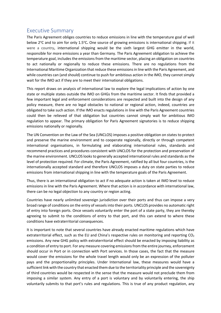## Executive Summary

The Paris Agreement obliges countries to reduce emissions in line with the temperature goal of well below 2<sup>o</sup>C and to aim for only 1.5<sup>o</sup>C. One source of growing emissions is international shipping. If it were a country**,** international shipping would be the sixth largest GHG emitter in the world, responsible for more emissions a year than Germany. The Paris Agreement obligation to achieve the temperature goal, includes the emissions from the maritime sector, placing an obligation on countries to act nationally or regionally to reduce these emissions. There are no regulations from the International Maritime Organization that reduce these emissions in line with the Paris Agreement, and while countries can (and should) continue to push for ambitious action in the IMO, they cannot simply wait for the IMO act if they are to meet their international obligations.

This report draws on analysis of international law to explore the legal implications of action by one state or multiple states outside the IMO on GHGs from the maritime sector. It finds that provided a few important legal and enforcement considerations are respected and built into the design of any policy measure, there are no legal obstacles to national or regional action, indeed, countries are obligated to take such action. If the IMO enacts regulations in line with the Paris Agreement countries could then be relieved of that obligation but countries cannot simply wait for ambitious IMO regulation to appear. The primary obligation for Paris Agreement signatories is to reduce shipping emissions nationally or regionally.

The UN Convention on the Law of the Sea (UNCLOS) imposes a positive obligation on states to protect and preserve the marine environment and to cooperate regionally, directly or through competent international organisations, in formulating and elaborating international rules, standards and recommend practices and procedures consistent with UNCLOS for the protection and preservation of the marine environment. UNCLOS looks to generally accepted international rules and standards as the level of protection required. For climate, the Paris Agreement, ratified by all but four countries, is the internationally accepted standard and therefore UNCLOS imposes a duty on state parties to reduce emissions from international shipping in line with the temperature goals of the Paris Agreement.

Thus, there is an international obligation to act if no adequate action is taken at IMO level to reduce emissions in line with the Paris Agreement. Where that action is in accordance with international law, there can be no legal objection to any country or region acting.

Countries have nearly unlimited sovereign jurisdiction over their ports and thus can impose a very broad range of conditions on the entry of vessels into their ports. UNCLOS provides no automatic right of entry into foreign ports. Once vessels voluntarily enter the port of a state party, they are thereby agreeing to submit to the conditions of entry to that port, and this can extend to where these conditions have extraterritorial consequences.

It is important to note that several countries have already enacted maritime regulations which have extraterritorial effect, such as the EU and China's respective rules on monitoring and reporting  $CO<sub>2</sub>$ emissions. Any new GHG policy with extraterritorial effect should be enacted by imposing liability as a condition of entry to port. For any measure covering emissions from the entire journey, enforcement should occur in Port or in connection with Port services. In those cases, the fact that the measure would cover the emissions for the whole travel length would only be an expression of the polluter pays and the proportionality principles. Under International law, these measures would have a sufficient link with the country that enacted them due to the territoriality principle and the sovereignty of third countries would be respected in the sense that the measure would not preclude them from imposing a similar system. Any entry of a port is voluntary and by voluntarily entering, the ship voluntarily submits to that port's rules and regulations. This is true of any product regulation, any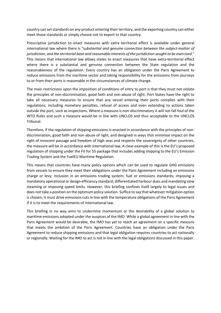country can set standards on any product entering their territory, and the exporting country can either meet those standards or simply choose not to export to that country.

Prescriptive jurisdiction to enact measures with extra territorial effect is available under general international law where there is "s*ubstantial and genuine connection between the subject-matter of jurisdiction, and the territorial base and reasonable interests of the jurisdiction sought to be exercised*." This means that international law allows states to enact measures that have extra-territorial effect where there is a substantial and genuine connection between the State regulation and the reasonableness of the regulation. Every country has an obligation under the Paris Agreement to reduce emissions from the maritime sector and taking responsibility for the emissions from journeys to or from their ports is reasonable in the circumstances of climate change.

The main restrictions upon the imposition of conditions of entry to port is that they must not violate the principles of non-discrimination, good faith and non-abuse of right. Port States have the right to take all necessary measures to ensure that any vessel entering their ports complies with their regulations, including monetary penalties, refusal of access and even extending to actions taken outside the port, such as inspections. Where a measure is non-discriminatory it will not fall foul of the WTO Rules and such a measure would be in line with UNCLOS and thus acceptable to the UNCLOS Tribunal.

Therefore, if the regulation of shipping emissions is enacted in accordance with the principles of nondiscrimination, good faith and non-abuse of right, and designed in ways that minimise impact on the right of innocent passage and freedom of high seas and respects the sovereignty of other countries, the measure will be in accordance with international law. A clear example of this is the EU's proposed regulation of shipping under the Fit for 55 package that includes adding shipping to the EU's Emission Trading System and the FuelEU Maritime Regulation.

This means that countries have many policy options which can be used to regulate GHG emissions from vessels to ensure they meet their obligations under the Paris Agreement including an emissions charge or levy; inclusion in an emissions trading system; fuel or emissions standards; imposing a mandatory operational or design efficiency standard; differentiated harbour dues and mandating slow steaming or imposing speed limits. However, this briefing confines itself largely to legal issues and does not take a position on the optimum policy solution. Suffice to say that whatever mitigation option is chosen, it must drive emissions cuts in line with the temperature obligations of the Paris Agreement if it is to meet the requirements of international law.

This briefing in no way aims to undermine momentum or the desirability of a global solution to maritime emissions adopted under the auspices of the IMO. While a global agreement in line with the Paris Agreement would be desirable, the IMO has yet to reach an agreement on a specific measure that meets the ambition of the Paris Agreement. Countries have an obligation under the Paris Agreement to reduce shipping emissions and that legal obligation requires countries to act nationally or regionally. Waiting for the IMO to act is not in line with the legal obligations discussed in this paper.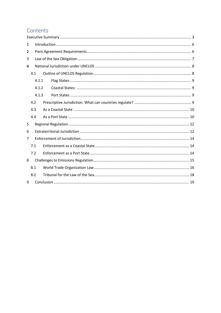## Contents

| 1 |     |       |  |  |
|---|-----|-------|--|--|
| 2 |     |       |  |  |
| 3 |     |       |  |  |
| 4 |     |       |  |  |
|   | 4.1 |       |  |  |
|   |     | 4.1.1 |  |  |
|   |     | 4.1.2 |  |  |
|   |     | 4.1.3 |  |  |
|   | 4.2 |       |  |  |
|   | 4.3 |       |  |  |
|   | 4.4 |       |  |  |
| 5 |     |       |  |  |
| 6 |     |       |  |  |
| 7 |     |       |  |  |
|   | 7.1 |       |  |  |
|   | 7.2 |       |  |  |
| 8 |     |       |  |  |
|   | 8.1 |       |  |  |
|   | 8.2 |       |  |  |
| 9 |     |       |  |  |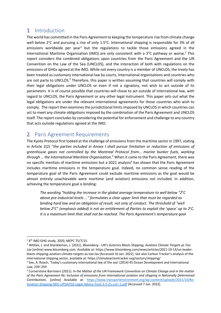## 1 Introduction

The world has committed in the Paris Agreement to keeping the temperature rise from climate change well below 2°C and pursuing a rise of only 1.5°C. International shipping is responsible for 3% of all emissions worldwide per year<sup>1</sup> but the regulations to tackle those emissions agreed in the International Maritime Organization (IMO) are only consistent with a 3°C pathway or worse.<sup>2</sup> This report considers the combined obligations upon countries from the Paris Agreement and the UN Convention on the Law of the Sea (UNCLOS), and the interaction of both with regulations on the emissions of GHGs agreed at the IMO. While not every country is a member of UNCLOS, the treaty has been treated as customary international law by courts, international organisations and countries who are not party to UNCLOS. $3$  Therefore, this paper is written assuming that countries will comply with their legal obligations under UNCLOS or even if not a signatory, not wish to act outside of its parameters. It is of course possible that countries will chose to act outside of international law, with regard to UNCLOS, the Paris Agreement or any other legal instrument. This paper sets out what the legal obligations are under the relevant international agreements for those countries who wish to comply. The report then examines the jurisdictional limits imposed by UNCLOS in which countries can act to meet any climate obligations imposed by the combination of the Paris Agreement and UNCLOS itself. The report concludes by considering the potential for enforcement and challenge to any country that acts outside regulations agreed at the IMO.

# 2 Paris Agreement Requirements

The Kyoto Protocol first looked at the challenge of emissions from the maritime sector in 1997, stating in Article 2(2) "*the parties included in Annex I shall pursue limitation or reduction of emissions of greenhouse gases not controlled by the Montreal Protocol from… marine bunker fuels, working through … the International Maritime Organisation.*" When it came to the Paris Agreement, there was no specific mention of maritime emissions but a 2021 analysis<sup>4</sup> has shown that the Paris Agreement includes maritime emissions in the temperature goal. Indeed, no common sense reading of the temperature goal of the Paris Agreement could exclude maritime emissions as the goal would be almost entirely unachievable were maritime (and aviation) emissions not included. In addition, achieving the temperature goal is binding:

The wording "holding the increase in the global average temperature to well below "2°C *above pre-industrial levels ..." formulates a clear upper limit that must be regarded as binding hard law and an obligation of result, not only of conduct. The threshold of "well*  below 2<sup>o</sup>C" (emphasis added) is not an entitlement of Parties to exploit the 'space' up to 2<sup>o</sup>C. *It is a maximum limit that shall not be reached. The Paris Agreement's temperature goal* 

<sup>&</sup>lt;sup>1</sup> 4<sup>th</sup> IMO GHG study, 2020, MEPC 75/7/15.<br><sup>2</sup> Wittles, J. and Shankleman, J. (2021). *Bloomberg - UN's Guterres Blasts Shipping, Aviation Climate Targets as Too Lax* [online] www.bloomberg.com. Available at: https://www.bloomberg.com/news/articles/2021-10-14/un-leaderblasts-shipping-aviation-climate-targets-as-too-lax [Accessed 10 Jan. 2022]. See also Carbon Tracker's analysis of the international shipping sector, available at: https://climateactiontracker.org/sectors/shipping/

<sup>&</sup>lt;sup>3</sup> See, A. Roach, 'Today's customary international law of the sea' (2014) 45 Ocean Development and International Law, 239–259

<sup>4</sup> Cornerstone Barristers (2021). *In the Matter of the UN Framework Convention on Climate Change and in the matter of the Paris Agreement Re: Inclusion of emissions from international aviation and shipping in Nationally Determined Contributions*. [online] Available at: https://www.transportenvironment.org/wp-content/uploads/2021/10/Re-Aviation-Shipping-NDC-UPDATED-Legal-Advice-Final-3-5-21-corr-1.pdf [Accessed 7 Jan. 2022].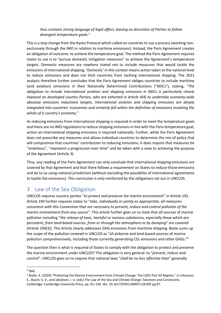#### *thus contains strong language of legal effect, leaving no discretion of Parties to follow divergent temperature goals.5*

This is a step change from the Kyoto Protocol which called on countries to use a process (working nonexclusively through the IMO in relation to maritime emissions). Instead, the Paris Agreement creates an obligation of outcome: to achieve the temperature goal. The method the Paris Agreement requires states to use is to "pursue domestic mitigation measures" to achieve the Agreement's temperature targets. Domestic measures are nowhere stated not to include measures that would tackle the emissions of international shipping. 'Domestic' in this context means action taken at the national level to reduce emissions and does not limit countries from tackling international shipping. The 2021 analysis therefore further concludes that the Paris Agreement obliges countries to include maritime (and aviation) emissions in their Nationally Determined Contributions ("NDCs"), stating, "*The obligation to include international aviation and shipping emissions in NDCs is particularly clearly imposed on developed country Parties, who are exhorted in Article 4(4) to undertake economy-wide absolute emissions reductions targets. International aviation and shipping emissions are deeply integrated into countries' economies and certainly fall within the definition of emissions involving the whole of a country's economy*."

As reducing emissions from international shipping is required in order to meet the temperature goals and there are no IMO regulations to reduce shipping emissions in line with the Paris temperature goal, action on international shipping emissions is required nationally. Further, while the Paris Agreement does not prescribe any measures and allows individual countries to determine the mix of policy that will compromise that countries' contribution to reducing emissions, it does require that measures be "ambitious", "represent a progression over time" and be taken with a view to achieving the purpose of the Agreement (Article 3).

Thus, any reading of the Paris Agreement can only conclude that international shipping emissions are covered by that Agreement and that there follows a requirement on States to reduce those emissions and do to so using national jurisdiction (without excluding the possibility of international agreements to tackle the emissions). This conclusion is only reinforced by the obligations set out in UNCLOS.

## 3 Law of the Sea Obligation

UNCLOS requires country parties "*to protect and preserve the marine environment*" in Article 192. Article 194 further requires states to "*take, individually or jointly as appropriate, all measures consistent with this Convention that are necessary to prevent, reduce and control pollution of the marine environment from any source".* This article further goes on to state that all sources of marine pollution including "*the release of toxic, harmful or noxious substances, especially those which are persistent, from land-based sources, from or through the atmosphere or by dumping*" are covered (Article 194(3)). This Article clearly addresses GHG emissions from maritime shipping. Boyle sums up the scope of the pollution covered in UNCLOS as "all airborne and land-based sources of marine pollution comprehensively, including those currently generating  $CO<sub>2</sub>$  emissions and other GHGs."<sup>6</sup>

The question then is what is required of States to comply with the obligation to protect and preserve the marine environment under UNCLOS? The obligation is very general: to "*prevent, reduce and control*". UNCLOS goes on to require that national laws "*shall be no less effective than*" generally

 $<sup>5</sup>$  Ibid.</sup>

<sup>6</sup> Boyle, A. (2020) "Protecting the Marine Environment from Climate Change: The LOSC Part XII Regime," in Johansen, E., Busch, S. V., and Jakobsen, I. U. (eds) The Law of the Sea and Climate Change: Solutions and Constraints. Cambridge: Cambridge University Press, pp. 81–103. doi: 10.1017/9781108907118.005 pg 87.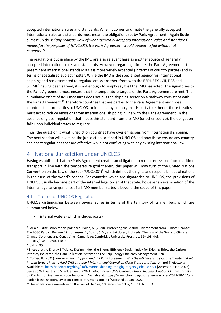accepted international rules and standards. When it comes to climate the generally accepted international rules and standards must mean the obligations set by Paris Agreement.<sup>7</sup> Again Boyle sums it up thus: "*any realistic view of what 'generally accepted international rules and standards' means for the purposes of [UNCLOS], the Paris Agreement would appear to fall within that category*."8

The regulations put in place by the IMO are also relevant here as another source of generally accepted international rules and standards. However, regarding climate, the Paris Agreement is the preeminent international standard as it is more widely accepted (in terms of country parties) and in terms of specialised subject matter. While the IMO is the specialised agency for international shipping and has attempted to regulate emissions therefrom with the EEDI, EEXI, CII, DCS and SEEMP<sup>9</sup> having been agreed, it is not enough to simply say that the IMO has acted. The signatories to the Paris Agreement must ensure that the temperature targets of the Paris Agreement are met. The cumulative effect of IMO measures does not put the shipping sector on a pathway consistent with the Paris Agreement.<sup>10</sup> Therefore countries that are parties to the Paris Agreement and those countries that are parties to UNCLOS, or indeed, any country that is party to either of those treaties must act to reduce emissions from international shipping in line with the Paris Agreement. In the absence of global regulation that meets this standard from the IMO (or other source), the obligation falls upon individual states to regulate.

Thus, the question is what jurisdiction countries have over emissions from international shipping. The next section will examine the jurisdictions defined in UNCLOS and how these ensure any country can enact regulations that are effective while not conflicting with any existing international law.

# 4 National Jurisdiction under UNCLOS

Having established that the Paris Agreement creates an obligation to reduce emissions from maritime transport in line with the temperature goal therein, this paper will now turn to the United Nations Convention on the Law of the Sea ("UNCLOS") $11$  which defines the rights and responsibilities of nations in their use of the world's oceans. For countries which are signatories to UNCLOS, the provisions of UNCLOS usually become part of the internal legal order of that state, however an examination of the internal legal arrangements of all IMO member states is beyond the scope of this paper.

## 4.1 Outline of UNCLOS Regulation

UNCLOS distinguishes between several zones in terms of the territory of its members which are summarised below:

internal waters (which includes ports)

<sup>7</sup> For a full discussion of this point see: Boyle, A. (2020) "Protecting the Marine Environment from Climate Change: The LOSC Part XII Regime," in Johansen, E., Busch, S. V., and Jakobsen, I. U. (eds) The Law of the Sea and Climate Change: Solutions and Constraints. Cambridge: Cambridge University Press, pp. 81–103. doi: 10.1017/9781108907118.005.

<sup>&</sup>lt;sup>8</sup> Ibid pg 95.<br><sup>9</sup> These are the Energy Efficiency Design Index, the Energy Efficiency Design Index for Existing Ships, the Carbon Intensity Indicator, the Data Collection System and the Ship Energy Efficiency Management Plan.

<sup>10</sup> Comer, B. (2021). *Zero-emission shipping and the Paris Agreement: Why the IMO needs to pick a zero date and set interim targets in its revised GHG strategy | International Council on Clean Transportation*. [online] Theicct.org. Available at: https://theicct.org/blog/staff/marine-shipping-imo-ghg-targets-global-sept21 [Accessed 7 Jan. 2022]. See also Wittles, J. and Shankleman, J. (2021). *Bloomberg - UN's Guterres Blasts Shipping, Aviation Climate Targets as Too Lax* [online] www.bloomberg.com. Available at: https://www.bloomberg.com/news/articles/2021-10-14/unleader-blasts-shipping-aviation-climate-targets-as-too-lax [Accessed 10 Jan. 2022].

<sup>&</sup>lt;sup>11</sup> United Nations Convention on the Law of the Sea, 10 December 1982, 1833 U.N.T.S. 3.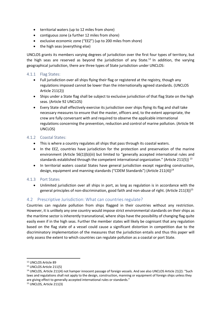- territorial waters (up to 12 miles from shore)
- contiguous zone (a further 12 miles from shore)
- exclusive economic zone ("EEZ") (up to 200 miles from shore)
- the high seas (everything else)

UNCLOS grants its members varying degrees of jurisdiction over the first four types of territory, but the high seas are reserved as beyond the jurisdiction of any State.<sup>12</sup> In addition, the varying geographical jurisdiction, there are three types of State jurisdiction under UNCLOS:

#### 4.1.1 Flag States:

- Full jurisdiction over all ships flying their flag or registered at the registry, though any regulations imposed cannot be lower than the internationally agreed standards. (UNCLOS Article 211(2))
- Ships under a State flag shall be subject to exclusive jurisdiction of that flag State on the high seas. (Article 92 UNCLOS)
- Every State shall effectively exercise its jurisdiction over ships flying its flag and shall take necessary measures to ensure that the master, officers and, to the extent appropriate, the crew are fully conversant with and required to observe the applicable international regulations concerning the prevention, reduction and control of marine pollution. (Article 94 UNCLOS)

#### 4.1.2 Coastal States:

- This is where a country regulates all ships that pass through its coastal waters.
- In the EEZ, countries have jurisdiction for the protection and preservation of the marine environment (Article 56(1)(b)(iii) but limited to "generally accepted international rules and standards established through the competent international organization." (Article 211(5))  $^{13}$
- In territorial waters coastal States have general jurisdiction except regarding construction, design, equipment and manning standards ("CDEM Standards") (Article 211(4))<sup>14</sup>

#### 4.1.3 Port States

• Unlimited jurisdiction over all ships in port, as long as regulation is in accordance with the general principles of non-discrimination, good faith and non-abuse of right. (Article 211(3))<sup>15</sup>

#### 4.2 Prescriptive Jurisdiction: What can countries regulate?

Countries can regulate pollution from ships flagged in their countries without any restriction. However, it is unlikely any one country would impose strict environmental standards on their ships as the maritime sector is inherently transnational, where ships have the possibility of changing flag quite easily even if in the high seas. Further the member states will likely be cognisant that any regulation based on the flag state of a vessel could cause a significant distortion in competition due to the discriminatory implementation of the measures that the jurisdiction entails and thus this paper will only assess the extent to which countries can regulate pollution as a coastal or port State.

<sup>12</sup> UNCLOS Article 89

<sup>13</sup> UNCLOS Article 211(5)

<sup>&</sup>lt;sup>14</sup> UNCLOS, Article 211(4) not hamper innocent passage of foreign vessels. And see also UNCLOS Article 21(2): "Such laws and regulations shall not apply to the design, construction, manning or equipment of foreign ships unless they are giving effect to generally accepted international rules or standards."

<sup>15</sup> UNCLOS, Article 211(3)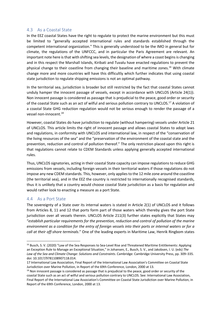#### 4.3 As a Coastal State

In the EEZ coastal States have the right to regulate to protect the marine environment but this must be limited to "generally accepted international rules and standards established through the competent international organization." This is generally understood to be the IMO in general but for climate, the regulations of the UNFCCC, and in particular the Paris Agreement are relevant. An important note here is that with shifting sea levels, the designation of where a coast begins is changing and in this respect the Marshall Islands, Kiribati and Tuvalu have enacted regulations to prevent the physical change to their coastline from changing their baseline and maritime zones.16 With climate change more and more countries will have this difficultly which further indicates that using coastal state jurisdiction to regulate shipping emissions is not an optimal pathway.

In the territorial sea, jurisdiction is broader but still restricted by the fact that coastal States cannot unduly hamper the innocent passage of vessels, except in accordance with UNCLOS (Article 24(1)). Non innocent passage is considered as passage that is prejudicial to the peace, good order or security of the coastal State such as an act of wilful and serious pollution contrary to UNCLOS.17 A violation of a coastal State GHG reduction regulation would not be serious enough to render the passage of a vessel non-innocent.18

However, coastal States do have jurisdiction to regulate (without hampering) vessels under Article 21 of UNCLOS. This article limits the right of innocent passage and allows coastal States to adopt laws and regulations, in conformity with UNCLOS and international law, in respect of the "conservation of the living resources of the sea" and the "preservation of the environment of the coastal state and the prevention, reduction and control of pollution thereof." The only restriction placed upon this right is that regulations cannot relate to CDEM Standards unless applying generally accepted international rules.

Thus, UNCLOS signatories, acting in their coastal State capacity can impose regulations to reduce GHG emissions from vessels, including foreign vessels in their territorial waters if those regulations do not impose any new CDEM standards. This, however, only applies to the 12 mile zone around the coastline (the territorial sea), and in the EEZ the country is restricted to internationally recognised standards, thus it is unlikely that a country would choose coastal State jurisdiction as a basis for regulation and would rather look to enacting a measure as a port State.

#### 4.4 As a Port State

The sovereignty of a State over its internal waters is stated in Article 2(1) of UNCLOS and it follows from Articles 8, 11 and 12 that ports form part of those waters which thereby gives the port State jurisdiction over all vessels therein. UNCLOS Article 211(3) further states explicitly that States may "*establish particular requirements for the prevention, reduction and control of pollution of the marine environment as a condition for the entry of foreign vessels into their ports or internal waters or for a call at their off-shore terminals*." One of the leading experts in Maritime Law, Henrik Ringbom states

<sup>&</sup>lt;sup>16</sup> Busch, S. V. (2020) "Law of the Sea Responses to Sea-Level Rise and Threatened Maritime Entitlements: Applying an Exception Rule to Manage an Exceptional Situation," in Johansen, E., Busch, S. V., and Jakobsen, I. U. (eds) *The Law of the Sea and Climate Change: Solutions and Constraints*. Cambridge: Cambridge University Press, pp. 309–335. doi: 10.1017/9781108907118.014.

<sup>17</sup> International Law Association, Final Report of the International Law Association's Committee on Coastal State Jurisdiction over Marine Pollution, in Report of the 69th Conference, London, 2000 at 13.

 $18$  Non innocent passage is considered as passage that is prejudicial to the peace, good order or security of the coastal State such as an act of wilful and serious pollution contrary to UNCLOS. See: International Law Association, Final Report of the International Law Association's Committee on Coastal State Jurisdiction over Marine Pollution, in Report of the 69th Conference, London, 2000 at 13.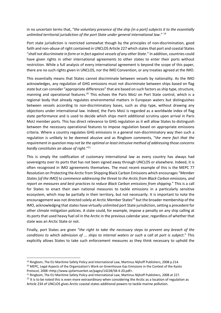in no uncertain terms that, "*the voluntary presence of the ship [in a port] subjects it to the essentially unlimited territorial jurisdiction of the port State under general international law*." 19

Port state jurisdiction is restricted somewhat though by the principles of non-discrimination, good faith and non-abuse of right contained in UNCLOS Article 227 which states that port and coastal States "*shall not discriminate in form or in fact against vessels of any other State*." In addition, countries could have given rights in other international agreements to other states to enter their ports without restriction. While a full analysis of every international agreement is beyond the scope of this paper, there are no such rights given in UNCLOS, nor the IMO Convention, or any treaties agreed at the IMO.

This essentially means that States cannot discriminate between vessels by nationality. As the IMO acknowledges, any regulation of GHG emissions must not discriminate between ships based on flag state but can consider "appropriate differences" that are based on such factors as ship type, structure, manning and operational features.<sup>20</sup> This echoes the Paris MoU on Port State control, which is a regional body that already regulates environmental matters in European waters but distinguishes between vessels according to non-discriminatory bases, such as ship type, without drawing any objections under international law. Indeed, the Paris MoU is regarded as a worldwide index of flag state performance and is used to decide which ships merit additional scrutiny upon arrival in Paris MoU member ports. This has direct relevance to GHG regulation as it will allow States to distinguish between the necessary operational features to impose regulation based on appropriate emissions criteria. Where a country regulates GHG emissions in a general non-discriminatory way then such a regulation is unlikely to be deemed abusive and as Ringbom comments, "t*he mere fact that the requirement in question may not be the optimal or least intrusive method of addressing those concerns hardly constitutes an abuse of right*."21

This is simply the codification of customary international law as every country has always had sovereignty over its ports that has not been signed away through UNCLOS or elsewhere. Indeed, it is often recognised in IMO agreements themselves. The most recent example of this is the MEPC 77 Resolution on Protecting the Arctic from Shipping Black Carbon Emissions which encourages "*Member States [of the IMO] to commence addressing the threat to the Arctic from Black Carbon emissions, and report on measures and best practices to reduce Black Carbon emissions from shipping*." This is a call for States to enact their own national measures to tackle emissions in a particularly sensitive ecosystem, which may be partially in their territory, but not necessarily. It is important to note the encouragement was not directed solely at Arctic Member States<sup>22</sup> but the broader membership of the IMO, acknowledging that states have virtually unlimited port State jurisdiction, setting a precedent for other climate mitigation policies. A state could, for example, impose a penalty on any ship calling at its ports that used heavy fuel oil in the Arctic in the previous calendar year, regardless of whether that state was an Arctic State or not.

Finally, port States are given "*the right to take the necessary steps to prevent any breach of the conditions to which admission of ... ships to internal waters or such a call at port is subject*." This explicitly allows States to take such enforcement measures as they think necessary to uphold the

<sup>&</sup>lt;sup>19</sup> Ringbom, The EU Maritime Safety Policy and International Law, Martinus Nijhoff Publishers, 2008 p.214. <sup>20</sup> MEPC, Legal Aspects of the Organization's Work on Greenhouse Gas Emissions in the Context of the Kyoto Protocol, 2008 <http://www.sjofartsverket.se/pages/14228/58-4-20.pdf>.

<sup>&</sup>lt;sup>21</sup> Ringbom, The EU Maritime Safety Policy and International Law, Martinus Nijhoff Publishers, 2008 at 227.

 $22$  It is to be noted this is even more extraordinary when considering the Arctic as a location of regulation as Article 234 of UNCLOS gives Arctic coastal states additional powers to tackle marine pollution.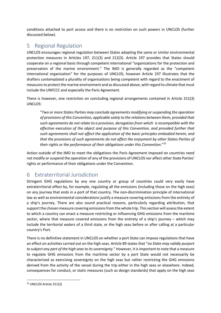conditions attached to port access and there is no restriction on such powers in UNCLOS (further discussed below).

## 5 Regional Regulation

UNCLOS encourages regional regulation between States adopting the same or similar environmental protection measures in Articles 197, 211(3) and 212(3). Article 197 provides that States should cooperate on a regional basis through competent international "organizations for the protection and preservation of the marine environment." The IMO is generally regarded as the "competent international organisation" for the purposes of UNCLOS, however Article 197 illustrates that the drafters contemplated a plurality of organisations being competent with regard to the enactment of measures to protect the marine environment and as discussed above, with regard to climate that must include the UNFCCC and especially the Paris Agreement.

There is however, one restriction on concluding regional arrangements contained in Article 311(3) UNCLOS:

"*Two or more States Parties may conclude agreements modifying or suspending the operation of provisions of this Convention, applicable solely to the relations between them, provided that such agreements do not relate to a provision, derogation from which is incompatible with the effective execution of the object and purpose of this Convention, and provided further that such agreements shall not affect the application of the basic principles embodied herein, and that the provisions of such agreements do not affect the enjoyment by other States Parties of their rights or the performance of their obligations under this Convention*."23

Action outside of the IMO to meet the obligations the Paris Agreement imposed on countries need not modify or suspend the operation of any of the provisions of UNCLOS nor affect other State Parties' rights or performance of their obligations under the Convention.

# 6 Extraterritorial Jurisdiction

Stringent GHG regulations by any one country or group of countries could very easily have extraterritorial effect by, for example, regulating all the emissions (including those on the high seas) on any journey that ends in a port of that country. The non-discrimination principle of international law as well as environmental considerations justify a measure covering emissions from the entirety of a ship's journey. There are also sound practical reasons, particularly regarding attribution, that support the chosen measure covering emissions from the whole trip. This section will assess the extent to which a country can enact a measure restricting or influencing GHG emissions from the maritime sector, where that measure covered emissions from the entirety of a ship's journey – which may include the territorial waters of a third state, or the high seas before or after calling at a particular country's Port.

There is no definitive statement in UNCLOS on whether a port State can impose regulations that have an effect on activities carried out on the high seas. Article 89 states that "*no State may validly purport to subject any part of the high seas to its sovereignty*." However, it is important to note that a measure to regulate GHG emissions from the maritime sector by a port State would not necessarily be characterised as exercising sovereignty on the high seas but rather restricting the GHG emissions derived from the activity of the vessel during the trip either in the high seas or elsewhere. Indeed, consequences for conduct, or static measures (such as design standards) that apply on the high seas

<sup>23</sup> UNCLOS Article 311(3)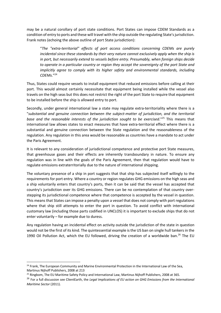may be a natural corollary of port state conditions. Port States can impose CDEM Standards as a condition of entry to ports and these will travel with the ship outside the regulating State's jurisdiction. Frank notes (echoing the above outline of port State jurisdiction):

"*The "extra-territorial" effects of port access conditions concerning CDEMs are purely incidental since these standards by their very nature cannot exclusively apply when the ship is in port, but necessarily extend to vessels before entry. Presumably, when foreign ships decide to operate in a particular country or region they accept the sovereignty of the port State and implicitly agree to comply with its higher safety and environmental standards, including CDEMs*."24

Thus, States could require vessels to install equipment that reduced emissions before calling at their port. This would almost certainly necessitate that equipment being installed while the vessel also travels on the high seas but this does not restrict the right of the port State to require that equipment to be installed before the ship is allowed entry to port.

Secondly, under general international law a state may regulate extra-territoriality where there is a "*substantial and genuine connection between the subject-matter of jurisdiction, and the territorial base and the reasonable interests of the jurisdiction sought to be exercised*."25 This means that international law allows states to enact measures that have extra-territorial effect where there is a substantial and genuine connection between the State regulation and the reasonableness of the regulation. Any regulation in this area would be reasonable as countries have a mandate to act under the Paris Agreement.

It is relevant to any consideration of jurisdictional competence and protective port State measures, that greenhouse gases and their effects are inherently transboundary in nature. To ensure any regulation was in line with the goals of the Paris Agreement, then that regulation would have to regulate emissions extraterritorially due to the nature of international shipping.

The voluntary presence of a ship in port suggests that that ship has subjected itself willingly to the requirements for port entry. Where a country or region regulates GHG emissions on the high seas and a ship voluntarily enters that country's ports, then it can be said that the vessel has accepted that country's jurisdiction over its GHG emissions. There can be no contemplation of that country overstepping its jurisdictional competence where that competence is accepted by the vessel in question. This means that States can impose a penalty upon a vessel that does not comply with port regulations where that ship still attempts to enter the port in question. To avoid conflict with international customary law (including those parts codified in UNCLOS) it is important to exclude ships that do not enter voluntarily – for example due to duress.

Any regulation having an incidental effect on activity outside the jurisdiction of the state in question would not be the first of its kind. The quintessential example is the US ban on single hull tankers in the 1990 Oil Pollution Act, which the EU followed, driving the creation of a worldwide ban.<sup>26</sup> The EU

<sup>&</sup>lt;sup>24</sup> Frank, The European Community and Marine Environmental Protection in the International Law of the Sea, Martinus Nijhoff Publishers, 2008 at 213

<sup>&</sup>lt;sup>25</sup> Ringbom, The EU Maritime Safety Policy and International Law, Martinus Nijhoff Publishers, 2008 at 365.

<sup>&</sup>lt;sup>26</sup> For a full discussion see ClientEarth, the *Legal Implications of EU action on GHG Emissions from the International Maritime Sector* (2011).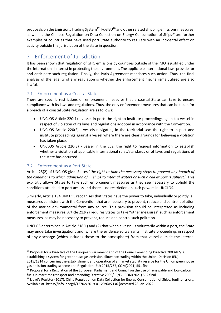proposals on the Emissions Trading System<sup>27</sup>, FuelEU<sup>28</sup> and other related shipping emissions measures, as well as the Chinese Regulation on Data Collection on Energy Consumption of Ships<sup>29</sup> are further examples of countries that have used port State authority to regulate with an incidental effect on activity outside the jurisdiction of the state in question.

# 7 Enforcement of Jurisdiction

It has been shown that regulation of GHG emissions by countries outside of the IMO is justified under the international interest in protecting the environment. The applicable international laws provide for and anticipate such regulation. Finally, the Paris Agreement mandates such action. Thus, the final analysis of the legality of any regulation is whether the enforcement mechanisms utilised are also lawful.

## 7.1 Enforcement as a Coastal State

There are specific restrictions on enforcement measures that a coastal State can take to ensure compliance with its laws and regulations. Thus, the only enforcement measures that can be taken for a breach of a coastal State regulation are as follows:

- UNCLOS Article 220(1) vessel in port: the right to institute proceedings against a vessel in respect of violation of its laws and regulations adopted in accordance with the Convention.
- UNCLOS Article 220(2) vessels navigating in the territorial sea: the right to inspect and institute proceedings against a vessel where there are clear grounds for believing a violation has taken place.
- UNCLOS Article 220(3) vessel in the EEZ: the right to request information to establish whether a violation of applicable international rules/standards or of laws and regulations of the state has occurred.

## 7.2 Enforcement as a Port State

Article 25(2) of UNCLOS gives States "*the right to take the necessary steps to prevent any breach of the conditions to which admission of ... ships to internal waters or such a call at port is subject.*" This explicitly allows States to take such enforcement measures as they see necessary to uphold the conditions attached to port access and there is no restriction on such powers in UNCLOS.

Similarly, Article 194 UNCLOS recognises that States have the power to take, individually or jointly, all measures consistent with the Convention that are necessary to prevent, reduce and control pollution of the marine environmental from any source. This provision should be interpreted as including enforcement measures. Article 212(2) requires States to take "other measures" such as enforcement measures, as may be necessary to prevent, reduce and control such pollution.

UNCLOS determines in Article 218(1) and (2) that when a vessel is voluntarily within a port, the State may undertake investigations and, where the evidence so warrants, institute proceedings in respect of any discharge (which includes those to the atmosphere) from that vessel outside the internal

<sup>&</sup>lt;sup>27</sup> Proposal for a Directive of the European Parliament and of the Council amending Directive 2003/87/EC establishing a system for greenhouse gas emission allowance trading within the Union, Decision (EU) 2015/1814 concerning the establishment and operation of a market stability reserve for the Union greenhouse gas emission trading scheme and Regulation (EU) 2015/757, COM(2021) 551 final.

<sup>&</sup>lt;sup>28</sup> Proposal for a Regulation of the European Parliament and Council on the use of renewable and low-carbon fuels in maritime transport and amending Directive 2009/16/EC, COM(2021) 562 final.

<sup>&</sup>lt;sup>29</sup> Lloyd's Register (2017). China Regulation on Data Collection for Energy Consumption of Ships. [online] Lr.org. Available at: https://info.lr.org/l/12702/2019-01-29/6w71k6 [Accessed 28 Jan. 2022].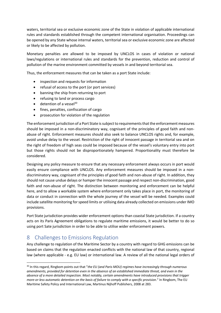waters, territorial sea or exclusive economic zone of the State in violation of applicable international rules and standards established through the competent international organisation. Proceedings can be opened by any State whose internal waters, territorial sea or exclusive economic zone are affected or likely to be affected by pollution.

Monetary penalties are allowed to be imposed by UNCLOS in cases of violation or national laws/regulations or international rules and standards for the prevention, reduction and control of pollution of the marine environment committed by vessels in and beyond territorial sea.

Thus, the enforcement measures that can be taken as a port State include:

- inspection and requests for information
- refusal of access to the port (or port services)
- banning the ship from returning to port
- refusing to land or process cargo
- $\bullet$  detention of a vessel<sup>30</sup>
- fines, penalties, confiscation of cargo
- prosecution for violation of the regulation

The enforcement jurisdiction of a Port State is subject to requirements that the enforcement measures should be imposed in a non-discriminatory way, cognisant of the principles of good faith and nonabuse of right. Enforcement measures should also seek to balance UNCLOS rights and, for example, avoid undue delay to the vessel. Restriction of the right of innocent passage in territorial sea and on the right of freedom of high seas could be imposed because of the vessel's voluntary entry into port but those rights should not be disproportionately hampered. Proportionality must therefore be considered.

Designing any policy measure to ensure that any necessary enforcement always occurs in port would easily ensure compliance with UNCLOS. Any enforcement measures should be imposed in a nondiscriminatory way, cognisant of the principles of good faith and non-abuse of right. In addition, they should not cause undue delays or hamper the innocent passage and respect non-discrimination, good faith and non-abuse of right. The distinction between monitoring and enforcement can be helpful here, and to allow a workable system where enforcement only takes place in port, the monitoring of data or conduct in connection with the whole journey of the vessel will be needed. Examples could include satellite monitoring for speed limits or utilising data already collected on emissions under IMO provisions.

Port State jurisdiction provides wider enforcement options than coastal State jurisdiction. If a country acts on its Paris Agreement obligations to regulate maritime emissions, it would be better to do so using port Sate jurisdiction in order to be able to utilise wider enforcement powers.

# 8 Challenges to Emissions Regulation

Any challenge to regulation of the Maritime Sector by a country with regard to GHG emissions can be based on claims that the regulation enacted conflicts with the national law of that country, regional law (where applicable - e.g. EU law) or international law. A review of all the national legal orders of

<sup>30</sup> In this regard, Ringbom points out that "*the EU (and Paris MOU) regimes have increasingly through numerous amendments, provided for detention even in the absence of an established immediate threat, and even in the absence of a more detailed inspection. Most notably, certain amendments have introduced provisions that trigger more-or-less automatic detention on the basis of failure to comply with a specific provision*." In Ringbom, The EU Maritime Safety Policy and International Law, Martinus Nijhoff Publishers, 2008 at 283.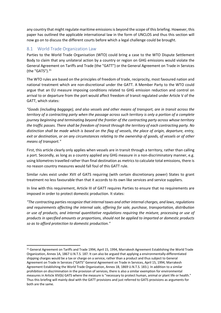any country that might regulate maritime emissions is beyond the scope of this briefing. However, this paper has outlined the applicable international law in the form of UNCLOS and thus this section will now go on to discuss the different courts before which a legal challenge could be brought.

## 8.1 World Trade Organization Law

Parties to the World Trade Organisation (WTO) could bring a case to the WTO Dispute Settlement Body to claim that any unilateral action by a country or region on GHG emissions would violate the General Agreement on Tariffs and Trade (the "GATT") or the General Agreement on Trade in Services (the "GATS"). $31$ 

The WTO rules are based on the principles of freedom of trade, reciprocity, most favoured nation and national treatment which are non-discretional under the GATT. A Member Party to the WTO could argue that an EU measure imposing conditions related to GHG emission reduction and control on arrival to or departure from the port would affect freedom of transit regulated under Article V of the GATT, which states:

*"Goods (including baggage), and also vessels and other means of transport, are in transit across the territory of a contracting party when the passage across such territory is only a portion of a complete journey beginning and terminating beyond the frontier of the contracting party across whose territory the traffic passes. There shall be freedom of transit through the territory of each contracting party. No distinction shall be made which is based on the flag of vessels, the place of origin, departure, entry, exit or destination, or on any circumstances relating to the ownership of goods, of vessels or of other means of transport."*

First, this article clearly only applies when vessels are in transit through a territory, rather than calling a port. Secondly, as long as a country applied any GHG measure in a non-discriminatory manner, e.g. using kilometres travelled rather than final destination as metrics to calculate total emissions, there is no reason country measures would fall foul of this GATT rule.

Similar rules exist under XVII of GATS requiring (with certain discretionary power) States to grant treatment no less favourable than that it accords to its own like services and service suppliers.

In line with this requirement, Article III of GATT requires Parties to ensure that no requirements are imposed in order to protect domestic production. It states:

*"The contracting parties recognize that internal taxes and other internal charges, and laws, regulations and requirements affecting the internal sale, offering for sale, purchase, transportation, distribution or use of products, and internal quantitative regulations requiring the mixture, processing or use of products in specified amounts or proportions, should not be applied to imported or domestic products so as to afford protection to domestic production."* 

<sup>&</sup>lt;sup>31</sup> General Agreement on Tariffs and Trade 1994, April 15, 1994, Marrakesh Agreement Establishing the World Trade Organization, Annex 1A, 1867 U.N.T.S. 187. It can also be argued that applying a environmentally-differentiated shipping charges would be a tax or charge on a service, rather than a product and thus subject to General Agreement on Trade in Services ("GATS" General Agreement on Trade in Services, April 15, 1994, Marrakesh Agreement Establishing the World Trade Organization, Annex 1B, 1869 U.N.T.S. 183.). In addition to a similar prohibition on discrimination in the provision of services, there is also a similar exemption for environmental measures in Article XIV(b) GATS where the measure is "necessary to protect human, animal or plant life or health." Thus this briefing will mainly deal with the GATT provisions and just referred to GATS provisions as arguments for both are the same.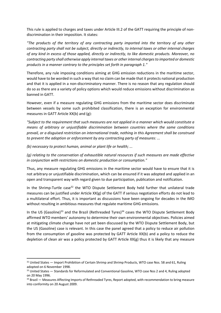This rule is applied to charges and taxes under Article III.2 of the GATT requiring the principle of nondiscrimination in their imposition. It states:

*"The products of the territory of any contracting party imported into the territory of any other contracting party shall not be subject, directly or indirectly, to internal taxes or other internal charges of any kind in excess of those applied, directly or indirectly, to like domestic products. Moreover, no contracting party shall otherwise apply internal taxes or other internal charges to imported or domestic products in a manner contrary to the principles set forth in paragraph 1."*

Therefore, any rule imposing conditions aiming at GHG emission reductions in the maritime sector, would have to be worded in such a way that no claim can be made that it protects national production and that it is applied in a non-discriminatory manner. There is no reason that any regulation should do so as there are a variety of policy options which would reduce emissions without discrimination as banned in GATT.

However, even if a measure regulating GHG emissions from the maritime sector does discriminate between vessels by some such prohibited classification, there is an exception for environmental measures in GATT Article XX(b) and (g):

*"Subject to the requirement that such measures are not applied in a manner which would constitute a means of arbitrary or unjustifiable discrimination between countries where the same conditions prevail, or a disguised restriction on international trade, nothing in this Agreement shall be construed to prevent the adoption or enforcement by any contracting party of measures: ...*

*(b) necessary to protect human, animal or plant life or health; ...*

*(g) relating to the conservation of exhaustible natural resources if such measures are made effective in conjunction with restrictions on domestic production or consumption."*

Thus, any measure regulating GHG emissions in the maritime sector would have to ensure that it is not arbitrary or unjustifiable discrimination, which can be ensured if it was adopted and applied in an open and transparent way with regard given to due participation, publication and notification.

In the Shrimp-Turtle case<sup>32</sup> the WTO Dispute Settlement Body held further that unilateral trade measures can be justified under Article XX(g) of the GATT if serious negotiation efforts do not lead to a multilateral effort. Thus, it is important as discussions have been ongoing for decades in the IMO without resulting in ambitious measures that regulate maritime GHG emissions.

In the US (Gasoline)<sup>33</sup> and the Brazil (Rethreaded Tyres)<sup>34</sup> cases the WTO Dispute Settlement Body affirmed WTO members' autonomy to determine their own environmental objectives. Policies aimed at mitigating climate change have not yet been discussed by the WTO Dispute Settlement Body, but the US (Gasoline) case is relevant. In this case the panel agreed that a policy to reduce air pollution from the consumption of gasoline was protected by GATT Article XX(b) and a policy to reduce the depletion of clean air was a policy protected by GATT Article  $XX(g)$  thus it is likely that any measure

<sup>&</sup>lt;sup>32</sup> United States — Import Prohibition of Certain Shrimp and Shrimp Products, WTO case Nos. 58 and 61, Ruling adopted on 6 November 1998.

<sup>&</sup>lt;sup>33</sup> United States — Standards for Reformulated and Conventional Gasoline, WTO case Nos 2 and 4, Ruling adopted on 20 May 1996.

<sup>34</sup> Brazil — Measures Affecting Imports of Rethreaded Tyres, Report adopted, with recommendation to bring measure into conformity on 20 August 2009.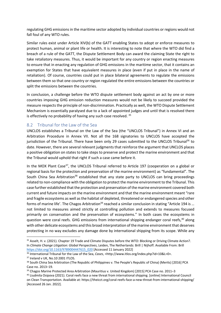regulating GHG emissions in the maritime sector adopted by individual countries or regions would not fall foul of any WTO rules.

Similar rules exist under Article XIV(b) of the GATT enabling States to adopt or enforce measures to protect human, animal or plant life or health. It is interesting to note that where the WTO did find a breach of a rule of the GATT, the Dispute Settlement Body can award the claiming State the right to take retaliatory measures. Thus, it would be important for any country or region enacting measures to ensure that in enacting any regulation of GHG emissions in the maritime sector, that it contains an exemption for States that have equivalent measures in place (even if put in place in the name of retaliation). Of course, countries could put in place bilateral agreements to regulate the emissions between them so that one country or region regulated the entire emissions between the countries or split the emissions between the countries.

In conclusion, a challenge before the WTO dispute settlement body against an act by one or more countries imposing GHG emission reduction measures would not be likely to succeed provided the measure respects the principle of non-discrimination. Practically as well, the WTO Dispute Settlement Mechanism is essentially paralysed due to a lack of appointed judges and until that is resolved there is effectively no probability of having any such case resolved.  $35$ 

### 8.2 Tribunal for the Law of the Sea

UNCLOS establishes a Tribunal on the Law of the Sea (the "UNCLOS Tribunal") in Annex VI and an Arbitration Procedure in Annex VII. Not all the 168 signatories to UNCLOS have accepted the jurisdiction of the Tribunal. There have been only 29 cases submitted to the UNCLOS Tribunal<sup>36</sup> to date. However, there are several relevant judgments that reinforce the argument that UNCLOS places a positive obligation on states to take steps to preserve and protect the marine environment and that the Tribunal would uphold that right if such a case came before it.

In the MOX Plant Case<sup>37</sup>, the UNCLOS Tribunal referred to Article 197 (cooperation on a global or regional basis for the protection and preservation of the marine environment) as "fundamental". The South China Sea Arbitration<sup>38</sup> established that any state party to UNCLOS can bring proceedings related to non-compliance with the obligation to protect the marine environment to the Tribunal. This case further established that the protection and preservation of the marine environment covered both current and future impacts on the marine environment and that the marine environment meant "rare and fragile ecosystems as well as the habitat of depleted, threatened or endangered species and other forms of marine life'. The Chagos Arbitration<sup>39</sup> reached a similar conclusion in stating "Article 194 is ... not limited to measures aimed strictly at controlling pollution and extends to measures focused primarily on conservation and the preservation of ecosystems." In both cases the ecosystems in question were coral reefs. GHG emissions from international shipping endanger coral reefs,<sup>40</sup> along with other delicate ecosystems and this broad interpretation of the marine environment that deserves protecting in no way excludes any damage done by international shipping from its scope. While any

<sup>35</sup> Asselt, H. v. (2021). Chapter 19 Trade and Climate Disputes before the WTO: Blocking or Driving Climate Action?. In *Climate Change Litigation: Global Perspectives*, Leiden, The Netherlands: Brill | Nijhoff. Available From: Brill https://doi.org/10.1163/9789004447615\_020 [Accessed 11 January 2022]

<sup>36</sup> International Tribunal for the Law of the Sea, *Cases*, <http://www.itlos.org/index.php?id=10&L=0>.

<sup>&</sup>lt;sup>37</sup> Ireland v UK, No.10 2001 ITLOS.

<sup>&</sup>lt;sup>38</sup> South China Sea Arbitration (The Republic of Philippines v. The People's Republic of China) (Merits) [2016] PCA Case no. 2013–19.

<sup>&</sup>lt;sup>39</sup> Chagos Marine Protected Area Arbitration (Mauritius v. United Kingdom) [2015] PCA Case no. 2011–3

<sup>40</sup> Liudmila Osipova (2021). Coral reefs face a new threat from international shipping. [online] International Council on Clean Transportation. Available at: https://theicct.org/coral-reefs-face-a-new-threat-from-international-shipping/ [Accessed 26 Jan. 2022].